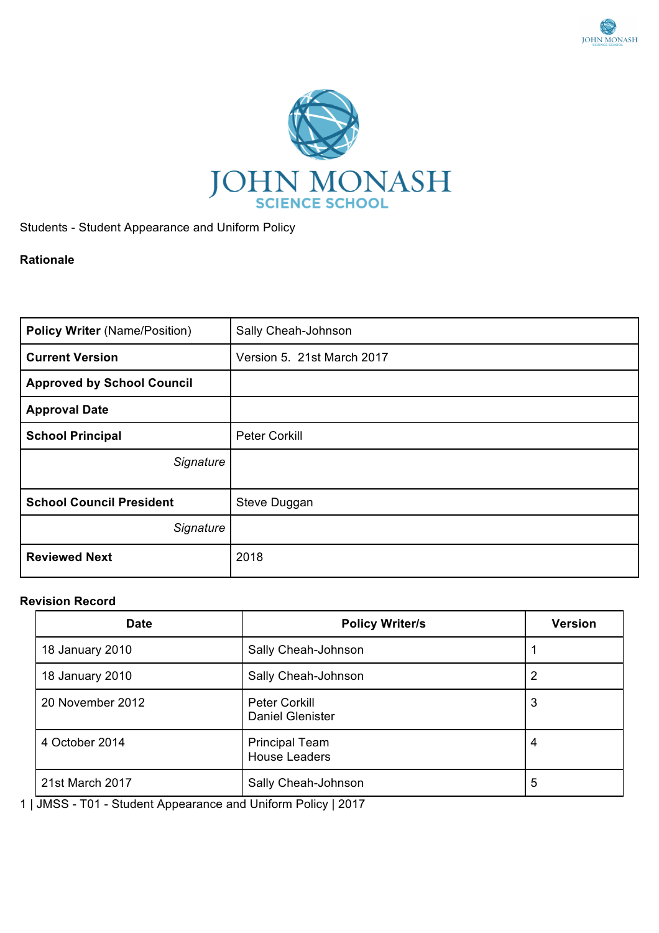



Students - Student Appearance and Uniform Policy

# **Rationale**

| Sally Cheah-Johnson        |
|----------------------------|
| Version 5. 21st March 2017 |
|                            |
|                            |
| <b>Peter Corkill</b>       |
|                            |
| Steve Duggan               |
|                            |
| 2018                       |
|                            |

## **Revision Record**

| <b>Date</b>      | <b>Policy Writer/s</b>                          | <b>Version</b> |
|------------------|-------------------------------------------------|----------------|
| 18 January 2010  | Sally Cheah-Johnson                             |                |
| 18 January 2010  | Sally Cheah-Johnson                             |                |
| 20 November 2012 | <b>Peter Corkill</b><br><b>Daniel Glenister</b> | 3              |
| 4 October 2014   | <b>Principal Team</b><br><b>House Leaders</b>   | 4              |
| 21st March 2017  | Sally Cheah-Johnson                             | 5              |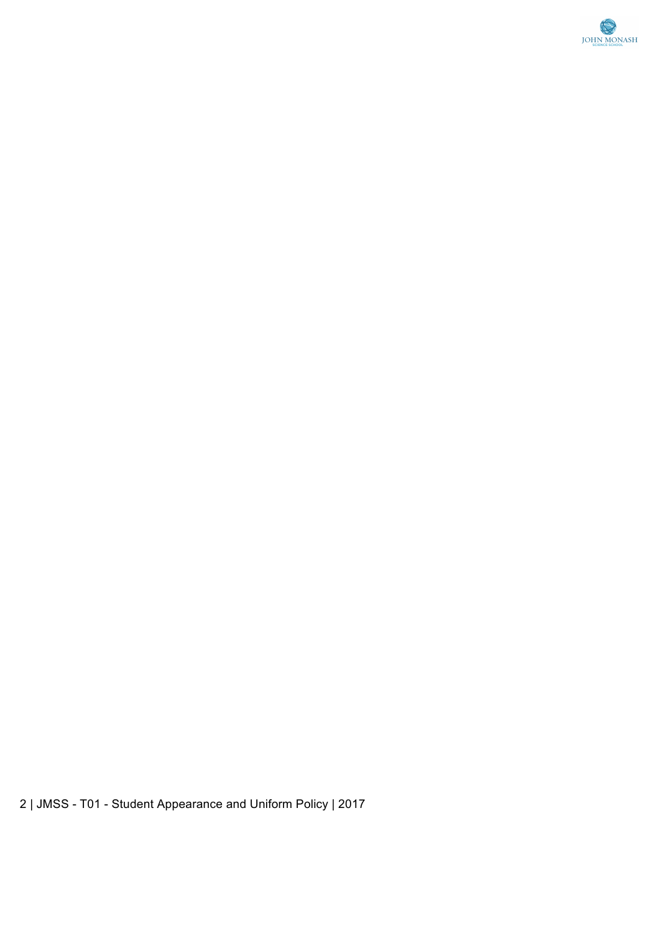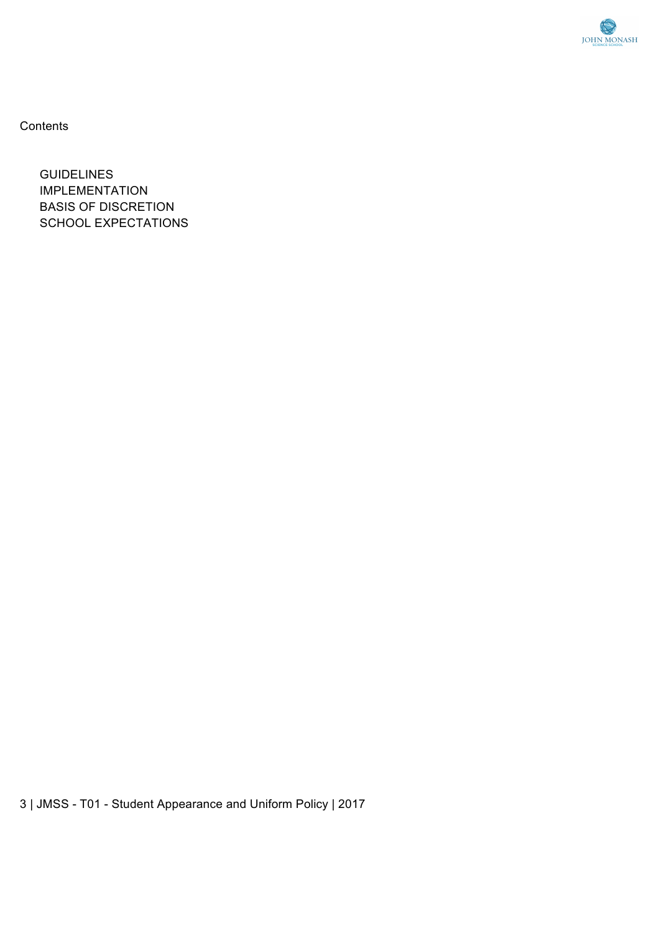

**Contents** 

GUIDELINES IMPLEMENTATION BASIS OF DISCRETION SCHOOL EXPECTATIONS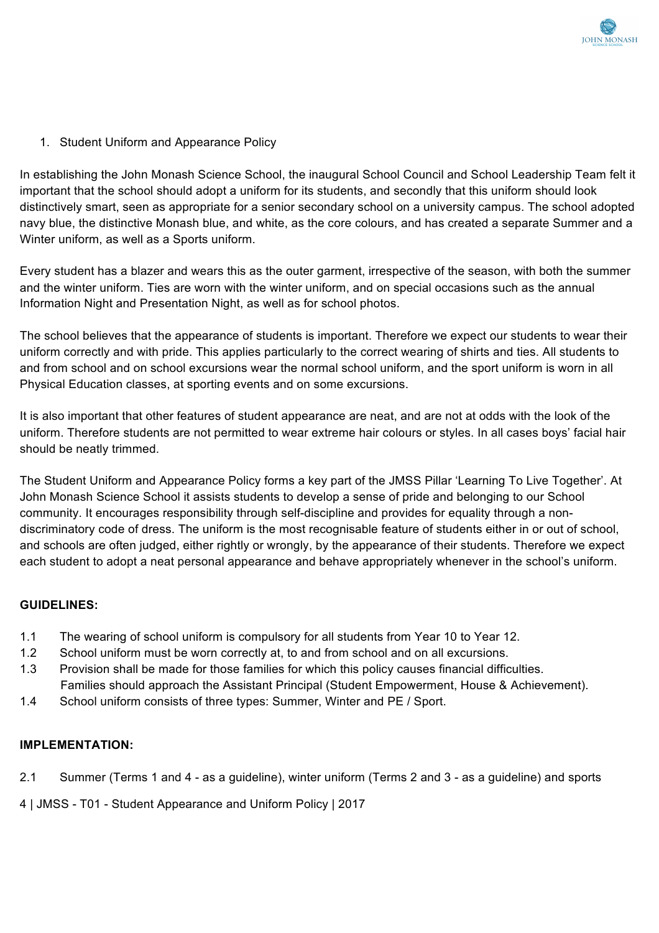

1. Student Uniform and Appearance Policy

In establishing the John Monash Science School, the inaugural School Council and School Leadership Team felt it important that the school should adopt a uniform for its students, and secondly that this uniform should look distinctively smart, seen as appropriate for a senior secondary school on a university campus. The school adopted navy blue, the distinctive Monash blue, and white, as the core colours, and has created a separate Summer and a Winter uniform, as well as a Sports uniform.

Every student has a blazer and wears this as the outer garment, irrespective of the season, with both the summer and the winter uniform. Ties are worn with the winter uniform, and on special occasions such as the annual Information Night and Presentation Night, as well as for school photos.

The school believes that the appearance of students is important. Therefore we expect our students to wear their uniform correctly and with pride. This applies particularly to the correct wearing of shirts and ties. All students to and from school and on school excursions wear the normal school uniform, and the sport uniform is worn in all Physical Education classes, at sporting events and on some excursions.

It is also important that other features of student appearance are neat, and are not at odds with the look of the uniform. Therefore students are not permitted to wear extreme hair colours or styles. In all cases boys' facial hair should be neatly trimmed.

The Student Uniform and Appearance Policy forms a key part of the JMSS Pillar 'Learning To Live Together'. At John Monash Science School it assists students to develop a sense of pride and belonging to our School community. It encourages responsibility through self-discipline and provides for equality through a nondiscriminatory code of dress. The uniform is the most recognisable feature of students either in or out of school, and schools are often judged, either rightly or wrongly, by the appearance of their students. Therefore we expect each student to adopt a neat personal appearance and behave appropriately whenever in the school's uniform.

#### **GUIDELINES:**

- 1.1 The wearing of school uniform is compulsory for all students from Year 10 to Year 12.
- 1.2 School uniform must be worn correctly at, to and from school and on all excursions.
- 1.3 Provision shall be made for those families for which this policy causes financial difficulties. Families should approach the Assistant Principal (Student Empowerment, House & Achievement).
- 1.4 School uniform consists of three types: Summer, Winter and PE / Sport.

## **IMPLEMENTATION:**

2.1 Summer (Terms 1 and 4 - as a guideline), winter uniform (Terms 2 and 3 - as a guideline) and sports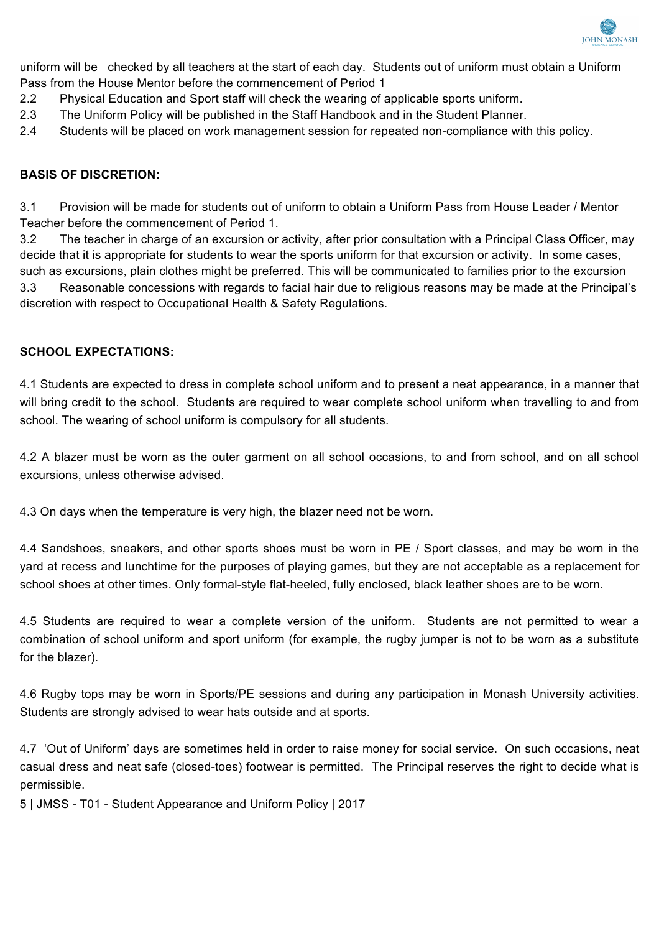

uniform will be checked by all teachers at the start of each day. Students out of uniform must obtain a Uniform Pass from the House Mentor before the commencement of Period 1

- 2.2 Physical Education and Sport staff will check the wearing of applicable sports uniform.
- 2.3 The Uniform Policy will be published in the Staff Handbook and in the Student Planner.
- 2.4 Students will be placed on work management session for repeated non-compliance with this policy.

### **BASIS OF DISCRETION:**

3.1 Provision will be made for students out of uniform to obtain a Uniform Pass from House Leader / Mentor Teacher before the commencement of Period 1.

3.2 The teacher in charge of an excursion or activity, after prior consultation with a Principal Class Officer, may decide that it is appropriate for students to wear the sports uniform for that excursion or activity. In some cases, such as excursions, plain clothes might be preferred. This will be communicated to families prior to the excursion 3.3 Reasonable concessions with regards to facial hair due to religious reasons may be made at the Principal's discretion with respect to Occupational Health & Safety Regulations.

#### **SCHOOL EXPECTATIONS:**

4.1 Students are expected to dress in complete school uniform and to present a neat appearance, in a manner that will bring credit to the school. Students are required to wear complete school uniform when travelling to and from school. The wearing of school uniform is compulsory for all students.

4.2 A blazer must be worn as the outer garment on all school occasions, to and from school, and on all school excursions, unless otherwise advised.

4.3 On days when the temperature is very high, the blazer need not be worn.

4.4 Sandshoes, sneakers, and other sports shoes must be worn in PE / Sport classes, and may be worn in the yard at recess and lunchtime for the purposes of playing games, but they are not acceptable as a replacement for school shoes at other times. Only formal-style flat-heeled, fully enclosed, black leather shoes are to be worn.

4.5 Students are required to wear a complete version of the uniform. Students are not permitted to wear a combination of school uniform and sport uniform (for example, the rugby jumper is not to be worn as a substitute for the blazer).

4.6 Rugby tops may be worn in Sports/PE sessions and during any participation in Monash University activities. Students are strongly advised to wear hats outside and at sports.

4.7 'Out of Uniform' days are sometimes held in order to raise money for social service. On such occasions, neat casual dress and neat safe (closed-toes) footwear is permitted. The Principal reserves the right to decide what is permissible.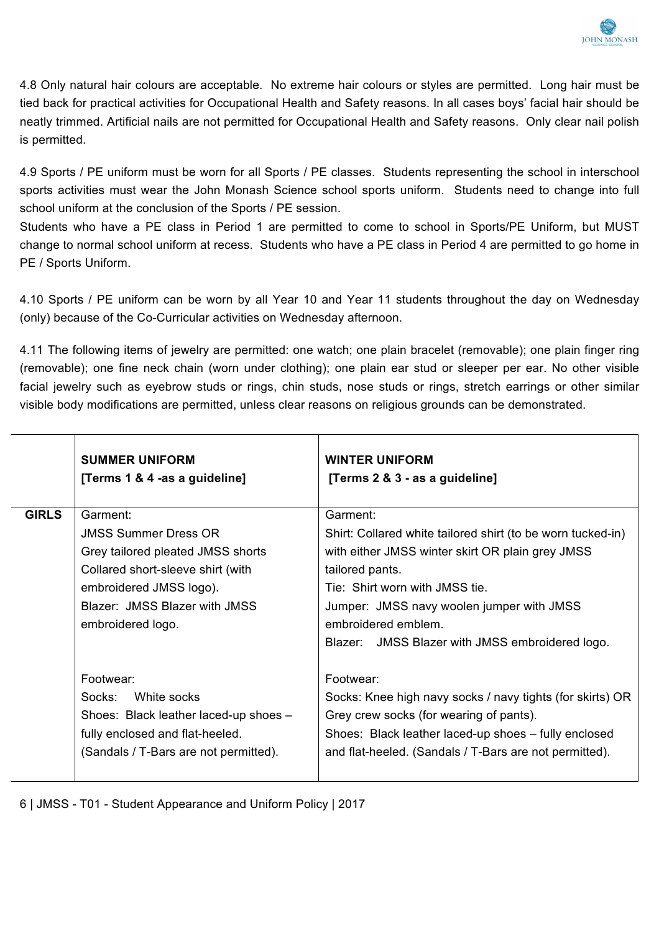

4.8 Only natural hair colours are acceptable. No extreme hair colours or styles are permitted. Long hair must be tied back for practical activities for Occupational Health and Safety reasons. In all cases boys' facial hair should be neatly trimmed. Artificial nails are not permitted for Occupational Health and Safety reasons. Only clear nail polish is permitted.

4.9 Sports / PE uniform must be worn for all Sports / PE classes. Students representing the school in interschool sports activities must wear the John Monash Science school sports uniform. Students need to change into full school uniform at the conclusion of the Sports / PE session.

Students who have a PE class in Period 1 are permitted to come to school in Sports/PE Uniform, but MUST change to normal school uniform at recess. Students who have a PE class in Period 4 are permitted to go home in PE / Sports Uniform.

4.10 Sports / PE uniform can be worn by all Year 10 and Year 11 students throughout the day on Wednesday (only) because of the Co-Curricular activities on Wednesday afternoon.

4.11 The following items of jewelry are permitted: one watch; one plain bracelet (removable); one plain finger ring (removable); one fine neck chain (worn under clothing); one plain ear stud or sleeper per ear. No other visible facial jewelry such as eyebrow studs or rings, chin studs, nose studs or rings, stretch earrings or other similar visible body modifications are permitted, unless clear reasons on religious grounds can be demonstrated.

|              | <b>SUMMER UNIFORM</b><br>[Terms 1 & 4 -as a guideline]                                                                                                                                             | <b>WINTER UNIFORM</b><br>[Terms 2 & 3 - as a guideline]                                                                                                                                                                                                                                                 |
|--------------|----------------------------------------------------------------------------------------------------------------------------------------------------------------------------------------------------|---------------------------------------------------------------------------------------------------------------------------------------------------------------------------------------------------------------------------------------------------------------------------------------------------------|
| <b>GIRLS</b> | Garment:<br><b>JMSS Summer Dress OR</b><br>Grey tailored pleated JMSS shorts<br>Collared short-sleeve shirt (with<br>embroidered JMSS logo).<br>Blazer: JMSS Blazer with JMSS<br>embroidered logo. | Garment:<br>Shirt: Collared white tailored shirt (to be worn tucked-in)<br>with either JMSS winter skirt OR plain grey JMSS<br>tailored pants.<br>Tie: Shirt worn with JMSS tie.<br>Jumper: JMSS navy woolen jumper with JMSS<br>embroidered emblem.<br>Blazer: JMSS Blazer with JMSS embroidered logo. |
|              | Footwear:<br>White socks<br>Socks:<br>Shoes: Black leather laced-up shoes -<br>fully enclosed and flat-heeled.<br>(Sandals / T-Bars are not permitted).                                            | Footwear:<br>Socks: Knee high navy socks / navy tights (for skirts) OR<br>Grey crew socks (for wearing of pants).<br>Shoes: Black leather laced-up shoes - fully enclosed<br>and flat-heeled. (Sandals / T-Bars are not permitted).                                                                     |